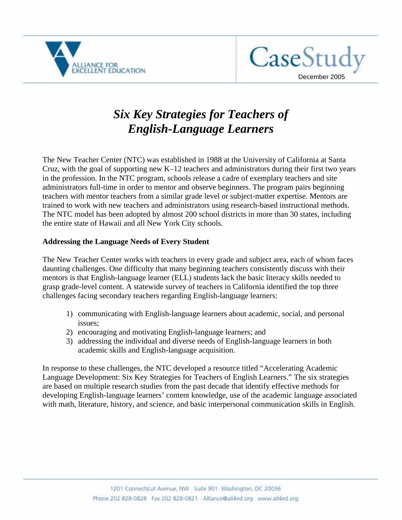



# *Six Key Strategies for Teachers of English-Language Learners*

The New Teacher Center (NTC) was established in 1988 at the University of California at Santa Cruz, with the goal of supporting new K–12 teachers and administrators during their first two years in the profession. In the NTC program, schools release a cadre of exemplary teachers and site administrators full-time in order to mentor and observe beginners. The program pairs beginning teachers with mentor teachers from a similar grade level or subject-matter expertise. Mentors are trained to work with new teachers and administrators using research-based instructional methods. The NTC model has been adopted by almost 200 school districts in more than 30 states, including the entire state of Hawaii and all New York City schools.

### **Addressing the Language Needs of Every Student**

The New Teacher Center works with teachers in every grade and subject area, each of whom faces daunting challenges. One difficulty that many beginning teachers consistently discuss with their mentors is that English-language learner (ELL) students lack the basic literacy skills needed to grasp grade-level content. A statewide survey of teachers in California identified the top three challenges facing secondary teachers regarding English-language learners:

- 1) communicating with English-language learners about academic, social, and personal issues;
- 2) encouraging and motivating English-language learners; and
- 3) addressing the individual and diverse needs of English-language learners in both academic skills and English-language acquisition.

In response to these challenges, the NTC developed a resource titled "Accelerating Academic Language Development: Six Key Strategies for Teachers of English Learners." The six strategies are based on multiple research studies from the past decade that identify effective methods for developing English-language learners' content knowledge, use of the academic language associated with math, literature, history, and science, and basic interpersonal communication skills in English.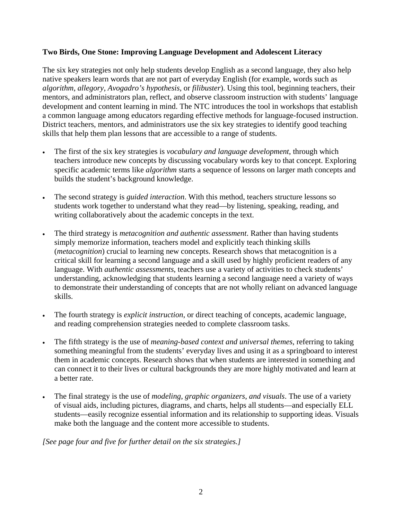### **Two Birds, One Stone: Improving Language Development and Adolescent Literacy**

The six key strategies not only help students develop English as a second language, they also help native speakers learn words that are not part of everyday English (for example, words such as *algorithm*, *allegory*, *Avogadro's hypothesis*, or *filibuster*). Using this tool, beginning teachers, their mentors, and administrators plan, reflect, and observe classroom instruction with students' language development and content learning in mind. The NTC introduces the tool in workshops that establish a common language among educators regarding effective methods for language-focused instruction. District teachers, mentors, and administrators use the six key strategies to identify good teaching skills that help them plan lessons that are accessible to a range of students.

- The first of the six key strategies is *vocabulary and language development*, through which teachers introduce new concepts by discussing vocabulary words key to that concept. Exploring specific academic terms like *algorithm* starts a sequence of lessons on larger math concepts and builds the student's background knowledge.
- The second strategy is *guided interaction*. With this method, teachers structure lessons so students work together to understand what they read—by listening, speaking, reading, and writing collaboratively about the academic concepts in the text.
- The third strategy is *metacognition and authentic assessment*. Rather than having students simply memorize information, teachers model and explicitly teach thinking skills (*metacognition*) crucial to learning new concepts. Research shows that metacognition is a critical skill for learning a second language and a skill used by highly proficient readers of any language. With *authentic assessments*, teachers use a variety of activities to check students' understanding, acknowledging that students learning a second language need a variety of ways to demonstrate their understanding of concepts that are not wholly reliant on advanced language skills.
- The fourth strategy is *explicit instruction*, or direct teaching of concepts, academic language, and reading comprehension strategies needed to complete classroom tasks.
- The fifth strategy is the use of *meaning-based context and universal themes*, referring to taking something meaningful from the students' everyday lives and using it as a springboard to interest them in academic concepts. Research shows that when students are interested in something and can connect it to their lives or cultural backgrounds they are more highly motivated and learn at a better rate.
- The final strategy is the use of *modeling*, *graphic organizers*, *and visuals*. The use of a variety of visual aids, including pictures, diagrams, and charts, helps all students—and especially ELL students—easily recognize essential information and its relationship to supporting ideas. Visuals make both the language and the content more accessible to students.

### *[See page four and five for further detail on the six strategies.]*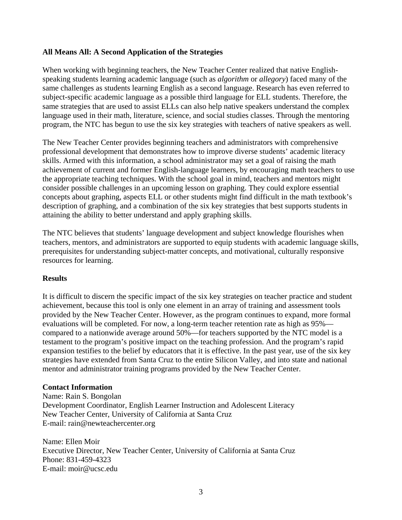### **All Means All: A Second Application of the Strategies**

When working with beginning teachers, the New Teacher Center realized that native Englishspeaking students learning academic language (such as *algorithm* or *allegory*) faced many of the same challenges as students learning English as a second language. Research has even referred to subject-specific academic language as a possible third language for ELL students. Therefore, the same strategies that are used to assist ELLs can also help native speakers understand the complex language used in their math, literature, science, and social studies classes. Through the mentoring program, the NTC has begun to use the six key strategies with teachers of native speakers as well.

The New Teacher Center provides beginning teachers and administrators with comprehensive professional development that demonstrates how to improve diverse students' academic literacy skills. Armed with this information, a school administrator may set a goal of raising the math achievement of current and former English-language learners, by encouraging math teachers to use the appropriate teaching techniques. With the school goal in mind, teachers and mentors might consider possible challenges in an upcoming lesson on graphing. They could explore essential concepts about graphing, aspects ELL or other students might find difficult in the math textbook's description of graphing, and a combination of the six key strategies that best supports students in attaining the ability to better understand and apply graphing skills.

The NTC believes that students' language development and subject knowledge flourishes when teachers, mentors, and administrators are supported to equip students with academic language skills, prerequisites for understanding subject-matter concepts, and motivational, culturally responsive resources for learning.

### **Results**

It is difficult to discern the specific impact of the six key strategies on teacher practice and student achievement, because this tool is only one element in an array of training and assessment tools provided by the New Teacher Center. However, as the program continues to expand, more formal evaluations will be completed. For now, a long-term teacher retention rate as high as 95% compared to a nationwide average around 50%—for teachers supported by the NTC model is a testament to the program's positive impact on the teaching profession. And the program's rapid expansion testifies to the belief by educators that it is effective. In the past year, use of the six key strategies have extended from Santa Cruz to the entire Silicon Valley, and into state and national mentor and administrator training programs provided by the New Teacher Center.

### **Contact Information**

Name: Rain S. Bongolan Development Coordinator, English Learner Instruction and Adolescent Literacy New Teacher Center, University of California at Santa Cruz E-mail: rain@newteachercenter.org

Name: Ellen Moir Executive Director, New Teacher Center, University of California at Santa Cruz Phone: 831-459-4323 E-mail: moir@ucsc.edu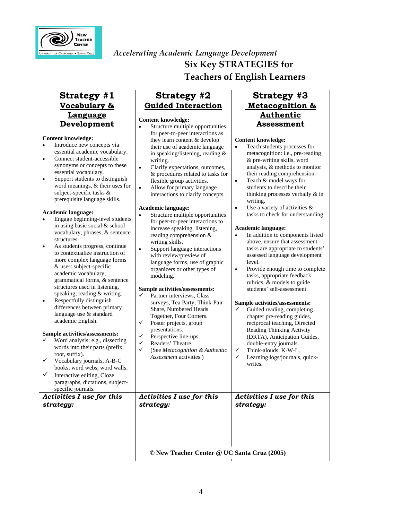

**Strategy #1** 

## *Accelerating Academic Language Development* **Six Key STRATEGIES for Teachers of English Learners**

**Strategy #2** 

#### **Vocabulary & Language Development Content knowledge:**  • Introduce new concepts via essential academic vocabulary. • Con sync esse Support Support students to students that such a set of the student student student students to student students to stude students that students set of the student students to stude students to stude students to stude stud word subj prere Academi • Enga  $in<sub>u</sub>$ vocabulary, phrases, & sentence struc As s to  $c<sub>i</sub>$ more  $&$  us acad gran struc spea Resp diffe lang acad **Sample a**  $\checkmark$  Word words into their parts (prefix, root Voc boo. Inter para spec **Guided Interaction Content knowledge:**  Structure multiple opportunities for peer-to-peer interactions as they learn content & develop their use of academic language in speaking/listening, reading & writing. • Clarify expectations, outcomes, & procedures related to tasks for flexible group activities. • Allow for primary language interactions to clarify concepts. **Academic language**: • Structure multiple opportunities for peer-to-peer interactions to increase speaking, listening, reading comprehension & writing skills. • Support language interactions with review/preview of language forms, use of graphic organizers or other types of modeling. **Sample activities/assessments:**   $\checkmark$  Partner interviews, Class surveys, Tea Party, Think-Pair-Share, Numbered Heads Together, Four Corners.  $\checkmark$  Poster projects, group presentations.  $\checkmark$  Perspective line-ups.  $\checkmark$  Readers' Theatre. 9 (See *Metacognition & Authentic Assessment* activities.)  $Action$ *strategy: Activities I use for this strategy:*

### **Strategy #3 Metacognition & Authentic Assessment**

#### **Content knowledge:**  • Teach students processes for

|                                                                                                                                                                                                                                                                                                                                                                                                                                                                                                                                                                                                                                                                                                                               | © New Teacher Center @ UC Santa Cruz (2005)                                                                                                                                                                                                                                                                                                                                                                                                                                                                                                                                                                                                                                                                                 |                                                                                                                                                                                                                                                                                                                                                                                                                                                                                                                                                                                                                                                                                                                                                              |
|-------------------------------------------------------------------------------------------------------------------------------------------------------------------------------------------------------------------------------------------------------------------------------------------------------------------------------------------------------------------------------------------------------------------------------------------------------------------------------------------------------------------------------------------------------------------------------------------------------------------------------------------------------------------------------------------------------------------------------|-----------------------------------------------------------------------------------------------------------------------------------------------------------------------------------------------------------------------------------------------------------------------------------------------------------------------------------------------------------------------------------------------------------------------------------------------------------------------------------------------------------------------------------------------------------------------------------------------------------------------------------------------------------------------------------------------------------------------------|--------------------------------------------------------------------------------------------------------------------------------------------------------------------------------------------------------------------------------------------------------------------------------------------------------------------------------------------------------------------------------------------------------------------------------------------------------------------------------------------------------------------------------------------------------------------------------------------------------------------------------------------------------------------------------------------------------------------------------------------------------------|
| gy:                                                                                                                                                                                                                                                                                                                                                                                                                                                                                                                                                                                                                                                                                                                           | strategy:                                                                                                                                                                                                                                                                                                                                                                                                                                                                                                                                                                                                                                                                                                                   | strategy:                                                                                                                                                                                                                                                                                                                                                                                                                                                                                                                                                                                                                                                                                                                                                    |
| ic language:<br>age beginning-level students<br>sing basic social & school<br>abulary, phrases, & sentence<br>ctures.<br>students progress, continue<br>ontextualize instruction of<br>e complex language forms<br>ses: subject-specific<br>demic vocabulary,<br>nmatical forms, & sentence<br>ctures used in listening,<br>aking, reading & writing.<br>pectfully distinguish<br>erences between primary<br>guage use & standard<br>demic English.<br>activities/assessments:<br>rd analysis: e.g., dissecting<br>ds into their parts (prefix,<br>t, suffix).<br>cabulary journals, A-B-C<br>ks, word webs, word walls.<br>ractive editing, Cloze<br>agraphs, dictations, subject-<br>cific journals.<br>ties I use for this | Academic language:<br>Structure multiple opportunities<br>$\bullet$<br>for peer-to-peer interactions to<br>increase speaking, listening,<br>reading comprehension &<br>writing skills.<br>Support language interactions<br>$\bullet$<br>with review/preview of<br>language forms, use of graphic<br>organizers or other types of<br>modeling.<br>Sample activities/assessments:<br>✓<br>Partner interviews, Class<br>surveys, Tea Party, Think-Pair-<br>Share, Numbered Heads<br>Together, Four Corners.<br>✓<br>Poster projects, group<br>presentations.<br>✓<br>Perspective line-ups.<br>✓<br>Readers' Theatre.<br>$\checkmark$<br>(See Metacognition & Authentic<br>Assessment activities.)<br>Activities I use for this | Use a variety of activities &<br>$\bullet$<br>tasks to check for understanding.<br>Academic language:<br>In addition to components listed<br>$\bullet$<br>above, ensure that assessment<br>tasks are appropriate to students'<br>assessed language development<br>level.<br>Provide enough time to complete<br>$\bullet$<br>tasks, appropriate feedback,<br>rubrics, & models to guide<br>students' self-assessment.<br>Sample activities/assessments:<br>Guided reading, completing<br>✓<br>chapter pre-reading guides,<br>reciprocal teaching, Directed<br>Reading Thinking Activity<br>(DRTA), Anticipation Guides,<br>double-entry journals.<br>✓<br>Think-alouds, K-W-L.<br>✓<br>Learning logs/journals, quick-<br>writes.<br>Activities I use for this |
| ential academic vocabulary.<br>nnect student-accessible<br>onyms or concepts to these<br>ential vocabulary.<br>port students to distinguish<br>d meanings, & their uses for<br>ject-specific tasks &<br>requisite language skills.                                                                                                                                                                                                                                                                                                                                                                                                                                                                                            | in speaking/listening, reading $\&$<br>writing.<br>Clarify expectations, outcomes,<br>$\bullet$<br>& procedures related to tasks for<br>flexible group activities.<br>Allow for primary language<br>$\bullet$<br>interactions to clarify concepts.                                                                                                                                                                                                                                                                                                                                                                                                                                                                          | metacognition: i.e., pre-reading<br>& pre-writing skills, word<br>analysis, & methods to monitor<br>their reading comprehension.<br>Teach & model ways for<br>$\bullet$<br>students to describe their<br>thinking processes verbally & in<br>writing.                                                                                                                                                                                                                                                                                                                                                                                                                                                                                                        |